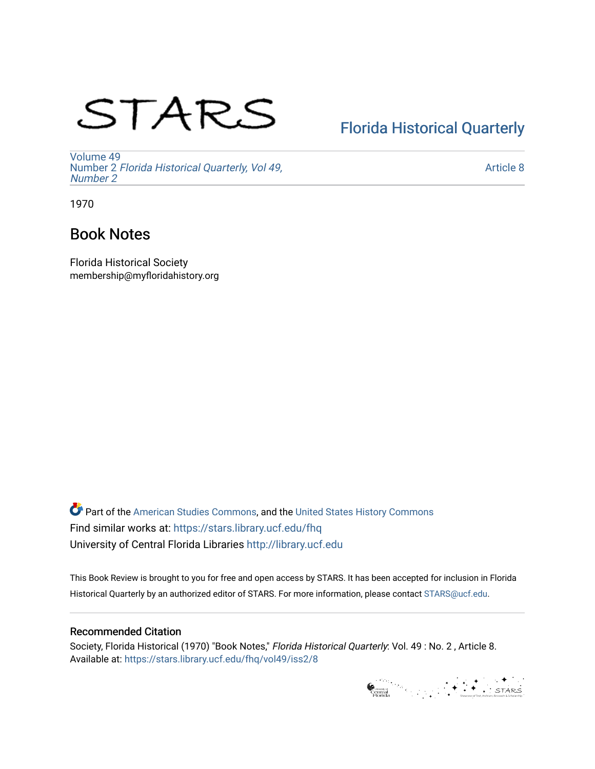# STARS

# [Florida Historical Quarterly](https://stars.library.ucf.edu/fhq)

[Volume 49](https://stars.library.ucf.edu/fhq/vol49) Number 2 [Florida Historical Quarterly, Vol 49,](https://stars.library.ucf.edu/fhq/vol49/iss2)  [Number 2](https://stars.library.ucf.edu/fhq/vol49/iss2)

[Article 8](https://stars.library.ucf.edu/fhq/vol49/iss2/8) 

1970

# Book Notes

Florida Historical Society membership@myfloridahistory.org

**C** Part of the [American Studies Commons](http://network.bepress.com/hgg/discipline/439?utm_source=stars.library.ucf.edu%2Ffhq%2Fvol49%2Fiss2%2F8&utm_medium=PDF&utm_campaign=PDFCoverPages), and the United States History Commons Find similar works at: <https://stars.library.ucf.edu/fhq> University of Central Florida Libraries [http://library.ucf.edu](http://library.ucf.edu/) 

This Book Review is brought to you for free and open access by STARS. It has been accepted for inclusion in Florida Historical Quarterly by an authorized editor of STARS. For more information, please contact [STARS@ucf.edu.](mailto:STARS@ucf.edu)

## Recommended Citation

Society, Florida Historical (1970) "Book Notes," Florida Historical Quarterly: Vol. 49 : No. 2 , Article 8. Available at: [https://stars.library.ucf.edu/fhq/vol49/iss2/8](https://stars.library.ucf.edu/fhq/vol49/iss2/8?utm_source=stars.library.ucf.edu%2Ffhq%2Fvol49%2Fiss2%2F8&utm_medium=PDF&utm_campaign=PDFCoverPages) 

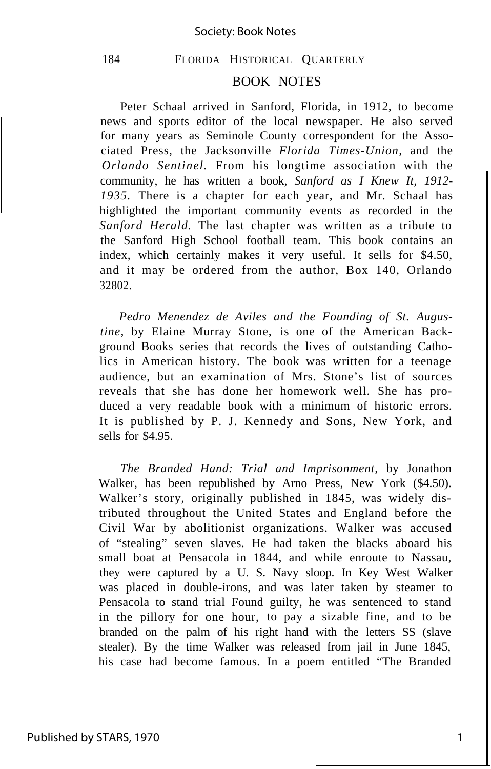## 184 FLORIDA HISTORICAL QUARTERLY

### BOOK NOTES

Peter Schaal arrived in Sanford, Florida, in 1912, to become news and sports editor of the local newspaper. He also served for many years as Seminole County correspondent for the Associated Press, the Jacksonville *Florida Times-Union,* and the *Orlando Sentinel.* From his longtime association with the community, he has written a book, *Sanford as I Knew It, 1912- 1935.* There is a chapter for each year, and Mr. Schaal has highlighted the important community events as recorded in the *Sanford Herald.* The last chapter was written as a tribute to the Sanford High School football team. This book contains an index, which certainly makes it very useful. It sells for \$4.50, and it may be ordered from the author, Box 140, Orlando 32802.

*Pedro Menendez de Aviles and the Founding of St. Augustine,* by Elaine Murray Stone, is one of the American Background Books series that records the lives of outstanding Catholics in American history. The book was written for a teenage audience, but an examination of Mrs. Stone's list of sources reveals that she has done her homework well. She has produced a very readable book with a minimum of historic errors. It is published by P. J. Kennedy and Sons, New York, and sells for \$4.95.

*The Branded Hand: Trial and Imprisonment,* by Jonathon Walker, has been republished by Arno Press, New York (\$4.50). Walker's story, originally published in 1845, was widely distributed throughout the United States and England before the Civil War by abolitionist organizations. Walker was accused of "stealing" seven slaves. He had taken the blacks aboard his small boat at Pensacola in 1844, and while enroute to Nassau, they were captured by a U. S. Navy sloop. In Key West Walker was placed in double-irons, and was later taken by steamer to Pensacola to stand trial Found guilty, he was sentenced to stand in the pillory for one hour, to pay a sizable fine, and to be branded on the palm of his right hand with the letters SS (slave stealer). By the time Walker was released from jail in June 1845, his case had become famous. In a poem entitled "The Branded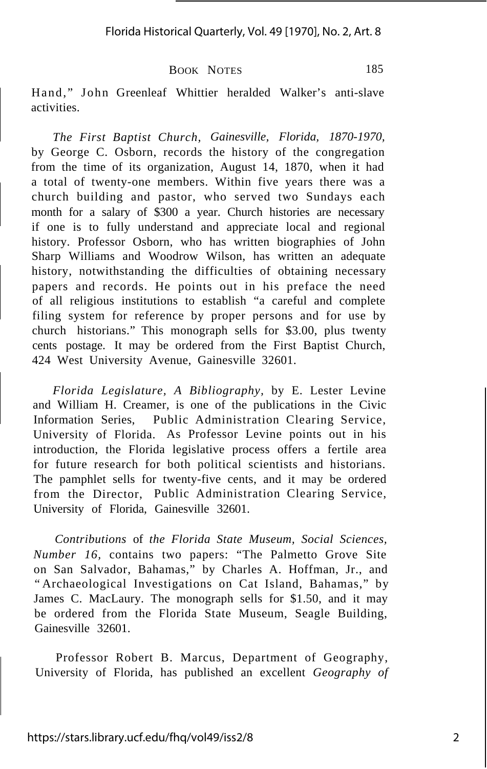BOOK NOTES 185

Hand," John Greenleaf Whittier heralded Walker's anti-slave activities.

*The First Baptist Church, Gainesville, Florida, 1870-1970,* by George C. Osborn, records the history of the congregation from the time of its organization, August 14, 1870, when it had a total of twenty-one members. Within five years there was a church building and pastor, who served two Sundays each month for a salary of \$300 a year. Church histories are necessary if one is to fully understand and appreciate local and regional history. Professor Osborn, who has written biographies of John Sharp Williams and Woodrow Wilson, has written an adequate history, notwithstanding the difficulties of obtaining necessary papers and records. He points out in his preface the need of all religious institutions to establish "a careful and complete filing system for reference by proper persons and for use by church historians." This monograph sells for \$3.00, plus twenty cents postage. It may be ordered from the First Baptist Church, 424 West University Avenue, Gainesville 32601.

*Florida Legislature, A Bibliography,* by E. Lester Levine and William H. Creamer, is one of the publications in the Civic Information Series, Public Administration Clearing Service, University of Florida. As Professor Levine points out in his introduction, the Florida legislative process offers a fertile area for future research for both political scientists and historians. The pamphlet sells for twenty-five cents, and it may be ordered from the Director, Public Administration Clearing Service, University of Florida, Gainesville 32601.

*Contributions* of *the Florida State Museum, Social Sciences, Number 16,* contains two papers: "The Palmetto Grove Site on San Salvador, Bahamas," by Charles A. Hoffman, Jr., and "Archaeological Investigations on Cat Island, Bahamas," by James C. MacLaury. The monograph sells for \$1.50, and it may be ordered from the Florida State Museum, Seagle Building, Gainesville 32601.

Professor Robert B. Marcus, Department of Geography, University of Florida, has published an excellent *Geography of*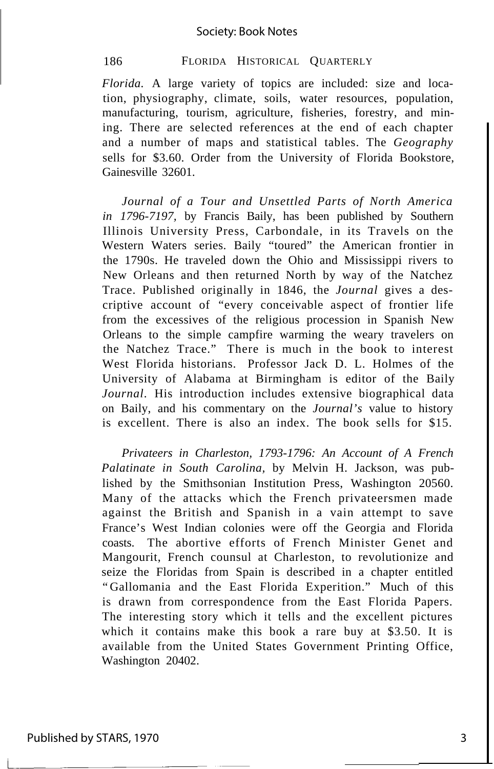#### 186 FLORIDA HISTORICAL QUARTERLY

*Florida.* A large variety of topics are included: size and location, physiography, climate, soils, water resources, population, manufacturing, tourism, agriculture, fisheries, forestry, and mining. There are selected references at the end of each chapter and a number of maps and statistical tables. The *Geography* sells for \$3.60. Order from the University of Florida Bookstore, Gainesville 32601.

*Journal of a Tour and Unsettled Parts of North America in 1796-7197,* by Francis Baily, has been published by Southern Illinois University Press, Carbondale, in its Travels on the Western Waters series. Baily "toured" the American frontier in the 1790s. He traveled down the Ohio and Mississippi rivers to New Orleans and then returned North by way of the Natchez Trace. Published originally in 1846, the *Journal* gives a descriptive account of "every conceivable aspect of frontier life from the excessives of the religious procession in Spanish New Orleans to the simple campfire warming the weary travelers on the Natchez Trace." There is much in the book to interest West Florida historians. Professor Jack D. L. Holmes of the University of Alabama at Birmingham is editor of the Baily *Journal.* His introduction includes extensive biographical data on Baily, and his commentary on the *Journal's* value to history is excellent. There is also an index. The book sells for \$15.

*Privateers in Charleston, 1793-1796: An Account of A French Palatinate in South Carolina,* by Melvin H. Jackson, was published by the Smithsonian Institution Press, Washington 20560. Many of the attacks which the French privateersmen made against the British and Spanish in a vain attempt to save France's West Indian colonies were off the Georgia and Florida coasts. The abortive efforts of French Minister Genet and Mangourit, French counsul at Charleston, to revolutionize and seize the Floridas from Spain is described in a chapter entitled "Gallomania and the East Florida Experition." Much of this is drawn from correspondence from the East Florida Papers. The interesting story which it tells and the excellent pictures which it contains make this book a rare buy at \$3.50. It is available from the United States Government Printing Office, Washington 20402.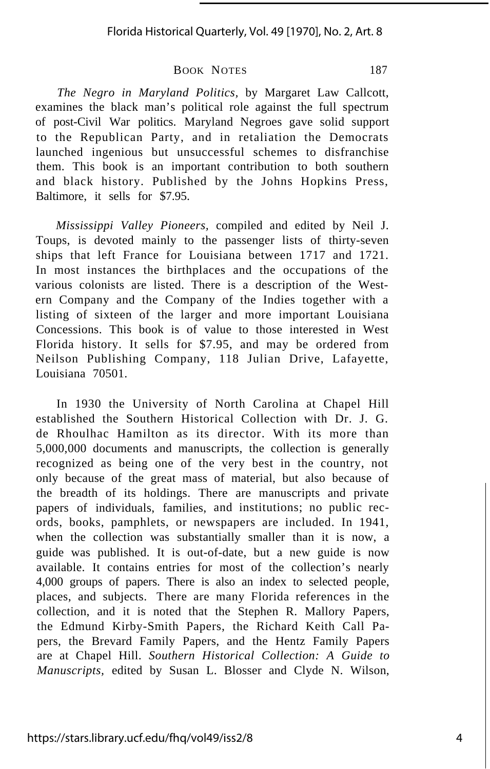Florida Historical Quarterly, Vol. 49 [1970], No. 2, Art. 8

#### BOOK NOTES 187

*The Negro in Maryland Politics,* by Margaret Law Callcott, examines the black man's political role against the full spectrum of post-Civil War politics. Maryland Negroes gave solid support to the Republican Party, and in retaliation the Democrats launched ingenious but unsuccessful schemes to disfranchise them. This book is an important contribution to both southern and black history. Published by the Johns Hopkins Press, Baltimore, it sells for \$7.95.

*Mississippi Valley Pioneers,* compiled and edited by Neil J. Toups, is devoted mainly to the passenger lists of thirty-seven ships that left France for Louisiana between 1717 and 1721. In most instances the birthplaces and the occupations of the various colonists are listed. There is a description of the Western Company and the Company of the Indies together with a listing of sixteen of the larger and more important Louisiana Concessions. This book is of value to those interested in West Florida history. It sells for \$7.95, and may be ordered from Neilson Publishing Company, 118 Julian Drive, Lafayette, Louisiana 70501.

In 1930 the University of North Carolina at Chapel Hill established the Southern Historical Collection with Dr. J. G. de Rhoulhac Hamilton as its director. With its more than 5,000,000 documents and manuscripts, the collection is generally recognized as being one of the very best in the country, not only because of the great mass of material, but also because of the breadth of its holdings. There are manuscripts and private papers of individuals, families, and institutions; no public records, books, pamphlets, or newspapers are included. In 1941, when the collection was substantially smaller than it is now, a guide was published. It is out-of-date, but a new guide is now available. It contains entries for most of the collection's nearly 4,000 groups of papers. There is also an index to selected people, places, and subjects. There are many Florida references in the collection, and it is noted that the Stephen R. Mallory Papers, the Edmund Kirby-Smith Papers, the Richard Keith Call Papers, the Brevard Family Papers, and the Hentz Family Papers are at Chapel Hill. *Southern Historical Collection: A Guide to Manuscripts,* edited by Susan L. Blosser and Clyde N. Wilson,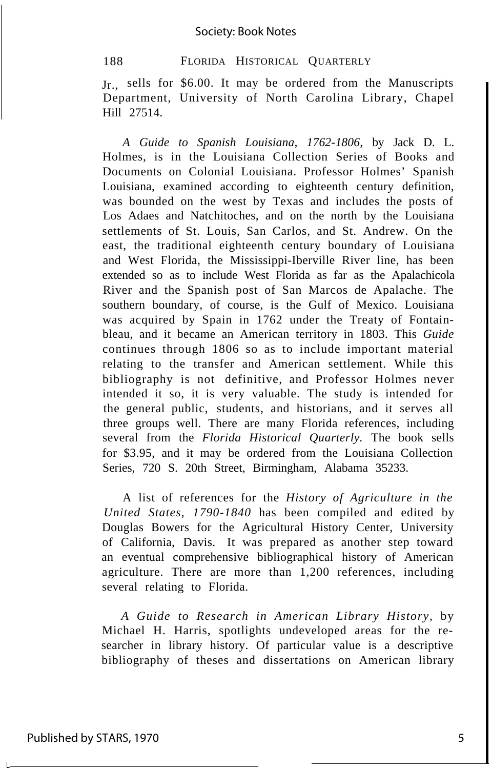#### Society: Book Notes

188 FLORIDA HISTORICAL QUARTERLY

Jr., sells for \$6.00. It may be ordered from the Manuscripts Department, University of North Carolina Library, Chapel Hill 27514.

*A Guide to Spanish Louisiana, 1762-1806,* by Jack D. L. Holmes, is in the Louisiana Collection Series of Books and Documents on Colonial Louisiana. Professor Holmes' Spanish Louisiana, examined according to eighteenth century definition, was bounded on the west by Texas and includes the posts of Los Adaes and Natchitoches, and on the north by the Louisiana settlements of St. Louis, San Carlos, and St. Andrew. On the east, the traditional eighteenth century boundary of Louisiana and West Florida, the Mississippi-Iberville River line, has been extended so as to include West Florida as far as the Apalachicola River and the Spanish post of San Marcos de Apalache. The southern boundary, of course, is the Gulf of Mexico. Louisiana was acquired by Spain in 1762 under the Treaty of Fontainbleau, and it became an American territory in 1803. This *Guide* continues through 1806 so as to include important material relating to the transfer and American settlement. While this bibliography is not definitive, and Professor Holmes never intended it so, it is very valuable. The study is intended for the general public, students, and historians, and it serves all three groups well. There are many Florida references, including several from the *Florida Historical Quarterly.* The book sells for \$3.95, and it may be ordered from the Louisiana Collection Series, 720 S. 20th Street, Birmingham, Alabama 35233.

A list of references for the *History of Agriculture in the United States, 1790-1840* has been compiled and edited by Douglas Bowers for the Agricultural History Center, University of California, Davis. It was prepared as another step toward an eventual comprehensive bibliographical history of American agriculture. There are more than 1,200 references, including several relating to Florida.

*A Guide to Research in American Library History,* by Michael H. Harris, spotlights undeveloped areas for the researcher in library history. Of particular value is a descriptive bibliography of theses and dissertations on American library